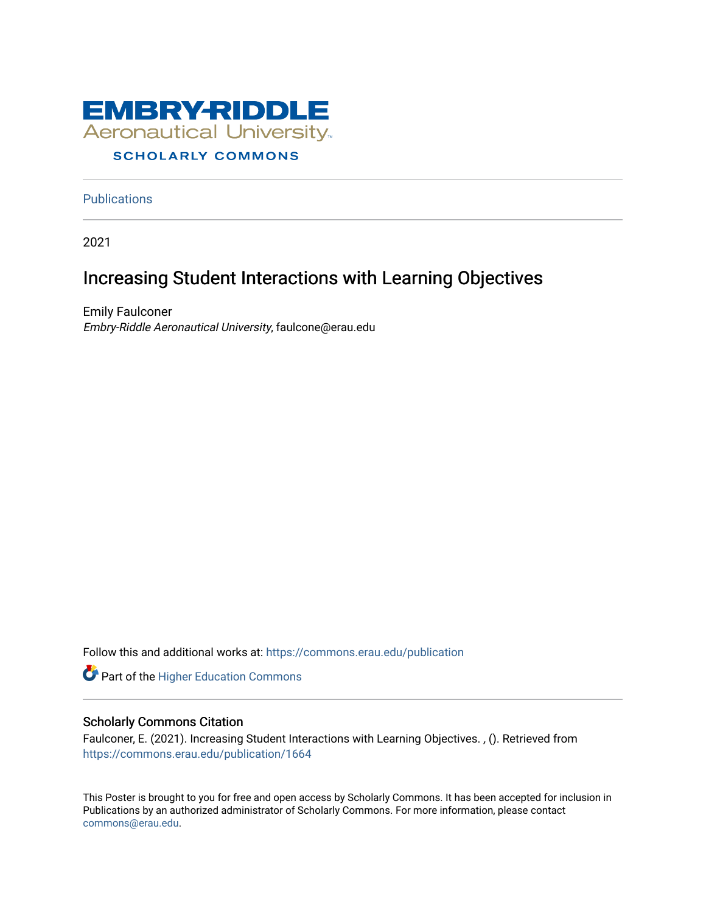

## **SCHOLARLY COMMONS**

**Publications** 

2021

## Increasing Student Interactions with Learning Objectives

Emily Faulconer Embry-Riddle Aeronautical University, faulcone@erau.edu

Follow this and additional works at: [https://commons.erau.edu/publication](https://commons.erau.edu/publication?utm_source=commons.erau.edu%2Fpublication%2F1664&utm_medium=PDF&utm_campaign=PDFCoverPages) 

Part of the [Higher Education Commons](http://network.bepress.com/hgg/discipline/1245?utm_source=commons.erau.edu%2Fpublication%2F1664&utm_medium=PDF&utm_campaign=PDFCoverPages) 

## Scholarly Commons Citation

Faulconer, E. (2021). Increasing Student Interactions with Learning Objectives. , (). Retrieved from [https://commons.erau.edu/publication/1664](https://commons.erau.edu/publication/1664?utm_source=commons.erau.edu%2Fpublication%2F1664&utm_medium=PDF&utm_campaign=PDFCoverPages)

This Poster is brought to you for free and open access by Scholarly Commons. It has been accepted for inclusion in Publications by an authorized administrator of Scholarly Commons. For more information, please contact [commons@erau.edu](mailto:commons@erau.edu).